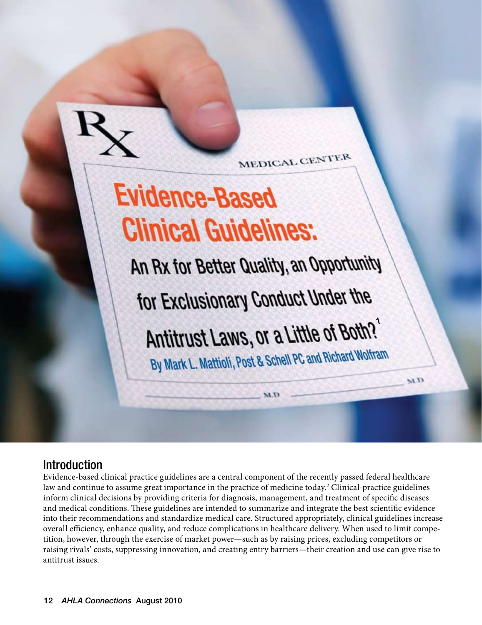

MEDICAL CENTER

# **Evidence-Based Clinical Guidelines:**

An Rx for Better Quality, an Opportunity for Exclusionary Conduct Under the Antitrust Laws, or a Little of Both?'

By Mark L. Mattioli, Post & Schell PC and Richard Wolfram

M.D

 $\alpha_M$ 

# Introduction

Evidence-based clinical practice guidelines are a central component of the recently passed federal healthcare law and continue to assume great importance in the practice of medicine today.<sup>2</sup> Clinical-practice guidelines inform clinical decisions by providing criteria for diagnosis, management, and treatment of specific diseases and medical conditions. These guidelines are intended to summarize and integrate the best scientific evidence into their recommendations and standardize medical care. Structured appropriately, clinical guidelines increase overall efficiency, enhance quality, and reduce complications in healthcare delivery. When used to limit competition, however, through the exercise of market power—such as by raising prices, excluding competitors or raising rivals' costs, suppressing innovation, and creating entry barriers—their creation and use can give rise to antitrust issues.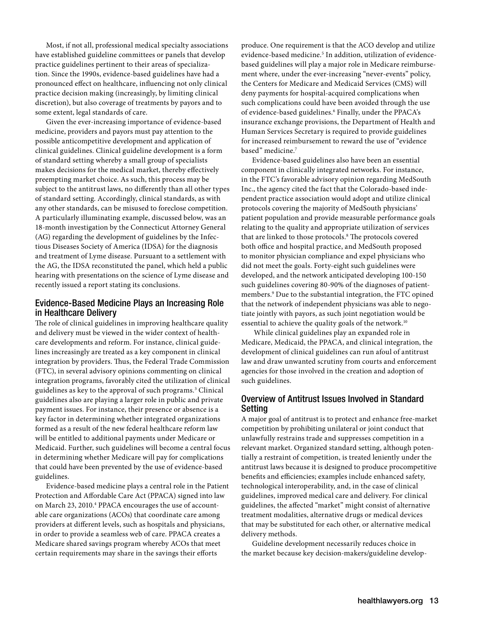Most, if not all, professional medical specialty associations have established guideline committees or panels that develop practice guidelines pertinent to their areas of specialization. Since the 1990s, evidence-based guidelines have had a pronounced effect on healthcare, influencing not only clinical practice decision making (increasingly, by limiting clinical discretion), but also coverage of treatments by payors and to some extent, legal standards of care.

Given the ever-increasing importance of evidence-based medicine, providers and payors must pay attention to the possible anticompetitive development and application of clinical guidelines. Clinical guideline development is a form of standard setting whereby a small group of specialists makes decisions for the medical market, thereby effectively preempting market choice. As such, this process may be subject to the antitrust laws, no differently than all other types of standard setting. Accordingly, clinical standards, as with any other standards, can be misused to foreclose competition. A particularly illuminating example, discussed below, was an 18-month investigation by the Connecticut Attorney General (AG) regarding the development of guidelines by the Infectious Diseases Society of America (IDSA) for the diagnosis and treatment of Lyme disease. Pursuant to a settlement with the AG, the IDSA reconstituted the panel, which held a public hearing with presentations on the science of Lyme disease and recently issued a report stating its conclusions.

# Evidence-Based Medicine Plays an Increasing Role in Healthcare Delivery

The role of clinical guidelines in improving healthcare quality and delivery must be viewed in the wider context of healthcare developments and reform. For instance, clinical guidelines increasingly are treated as a key component in clinical integration by providers. Thus, the Federal Trade Commission (FTC), in several advisory opinions commenting on clinical integration programs, favorably cited the utilization of clinical guidelines as key to the approval of such programs.<sup>3</sup> Clinical guidelines also are playing a larger role in public and private payment issues. For instance, their presence or absence is a key factor in determining whether integrated organizations formed as a result of the new federal healthcare reform law will be entitled to additional payments under Medicare or Medicaid. Further, such guidelines will become a central focus in determining whether Medicare will pay for complications that could have been prevented by the use of evidence-based guidelines.

Evidence-based medicine plays a central role in the Patient Protection and Affordable Care Act (PPACA) signed into law on March 23, 2010.<sup>4</sup> PPACA encourages the use of accountable care organizations (ACOs) that coordinate care among providers at different levels, such as hospitals and physicians, in order to provide a seamless web of care. PPACA creates a Medicare shared savings program whereby ACOs that meet certain requirements may share in the savings their efforts

produce. One requirement is that the ACO develop and utilize evidence-based medicine.<sup>5</sup> In addition, utilization of evidencebased guidelines will play a major role in Medicare reimbursement where, under the ever-increasing "never-events" policy, the Centers for Medicare and Medicaid Services (CMS) will deny payments for hospital-acquired complications when such complications could have been avoided through the use of evidence-based guidelines.<sup>6</sup> Finally, under the PPACA's insurance exchange provisions, the Department of Health and Human Services Secretary is required to provide guidelines for increased reimbursement to reward the use of "evidence based" medicine.7

Evidence-based guidelines also have been an essential component in clinically integrated networks. For instance, in the FTC's favorable advisory opinion regarding MedSouth Inc., the agency cited the fact that the Colorado-based independent practice association would adopt and utilize clinical protocols covering the majority of MedSouth physicians' patient population and provide measurable performance goals relating to the quality and appropriate utilization of services that are linked to those protocols.<sup>8</sup> The protocols covered both office and hospital practice, and MedSouth proposed to monitor physician compliance and expel physicians who did not meet the goals. Forty-eight such guidelines were developed, and the network anticipated developing 100-150 such guidelines covering 80-90% of the diagnoses of patientmembers.9 Due to the substantial integration, the FTC opined that the network of independent physicians was able to negotiate jointly with payors, as such joint negotiation would be essential to achieve the quality goals of the network.<sup>10</sup>

 While clinical guidelines play an expanded role in Medicare, Medicaid, the PPACA, and clinical integration, the development of clinical guidelines can run afoul of antitrust law and draw unwanted scrutiny from courts and enforcement agencies for those involved in the creation and adoption of such guidelines.

# Overview of Antitrust Issues Involved in Standard Setting

A major goal of antitrust is to protect and enhance free-market competition by prohibiting unilateral or joint conduct that unlawfully restrains trade and suppresses competition in a relevant market. Organized standard setting, although potentially a restraint of competition, is treated leniently under the antitrust laws because it is designed to produce procompetitive benefits and efficiencies; examples include enhanced safety, technological interoperability, and, in the case of clinical guidelines, improved medical care and delivery. For clinical guidelines, the affected "market" might consist of alternative treatment modalities, alternative drugs or medical devices that may be substituted for each other, or alternative medical delivery methods.

Guideline development necessarily reduces choice in the market because key decision-makers/guideline develop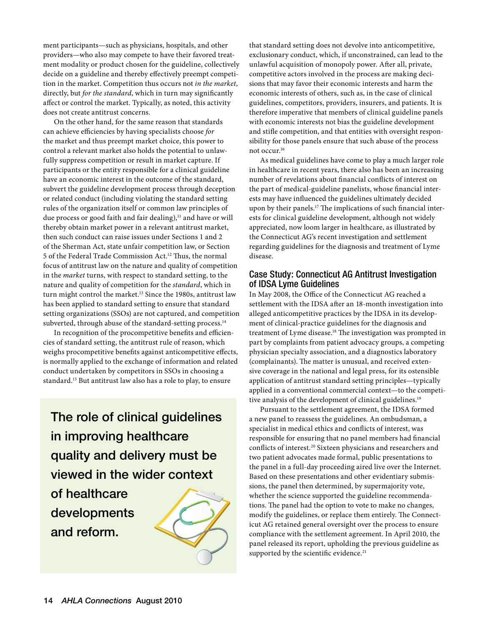ment participants—such as physicians, hospitals, and other providers—who also may compete to have their favored treatment modality or product chosen for the guideline, collectively decide on a guideline and thereby effectively preempt competition in the market. Competition thus occurs not *in the market*, directly, but *for the standard*, which in turn may significantly affect or control the market. Typically, as noted, this activity does not create antitrust concerns.

On the other hand, for the same reason that standards can achieve efficiencies by having specialists choose *for* the market and thus preempt market choice, this power to control a relevant market also holds the potential to unlawfully suppress competition or result in market capture. If participants or the entity responsible for a clinical guideline have an economic interest in the outcome of the standard, subvert the guideline development process through deception or related conduct (including violating the standard setting rules of the organization itself or common law principles of due process or good faith and fair dealing),<sup>11</sup> and have or will thereby obtain market power in a relevant antitrust market, then such conduct can raise issues under Sections 1 and 2 of the Sherman Act, state unfair competition law, or Section 5 of the Federal Trade Commission Act.12 Thus, the normal focus of antitrust law on the nature and quality of competition in the *market* turns, with respect to standard setting, to the nature and quality of competition for the *standard*, which in turn might control the market.<sup>13</sup> Since the 1980s, antitrust law has been applied to standard setting to ensure that standard setting organizations (SSOs) are not captured, and competition subverted, through abuse of the standard-setting process.<sup>14</sup>

In recognition of the procompetitive benefits and efficiencies of standard setting, the antitrust rule of reason, which weighs procompetitive benefits against anticompetitive effects, is normally applied to the exchange of information and related conduct undertaken by competitors in SSOs in choosing a standard.15 But antitrust law also has a role to play, to ensure

The role of clinical guidelines in improving healthcare quality and delivery must be viewed in the wider context

of healthcare developments and reform.



that standard setting does not devolve into anticompetitive, exclusionary conduct, which, if unconstrained, can lead to the unlawful acquisition of monopoly power. After all, private, competitive actors involved in the process are making decisions that may favor their economic interests and harm the economic interests of others, such as, in the case of clinical guidelines, competitors, providers, insurers, and patients. It is therefore imperative that members of clinical guideline panels with economic interests not bias the guideline development and stifle competition, and that entities with oversight responsibility for those panels ensure that such abuse of the process not occur.16

As medical guidelines have come to play a much larger role in healthcare in recent years, there also has been an increasing number of revelations about financial conflicts of interest on the part of medical-guideline panelists, whose financial interests may have influenced the guidelines ultimately decided upon by their panels.17 The implications of such financial interests for clinical guideline development, although not widely appreciated, now loom larger in healthcare, as illustrated by the Connecticut AG's recent investigation and settlement regarding guidelines for the diagnosis and treatment of Lyme disease.

# Case Study: Connecticut AG Antitrust Investigation of IDSA Lyme Guidelines

In May 2008, the Office of the Connecticut AG reached a settlement with the IDSA after an 18-month investigation into alleged anticompetitive practices by the IDSA in its development of clinical-practice guidelines for the diagnosis and treatment of Lyme disease.18 The investigation was prompted in part by complaints from patient advocacy groups, a competing physician specialty association, and a diagnostics laboratory (complainants). The matter is unusual, and received extensive coverage in the national and legal press, for its ostensible application of antitrust standard setting principles—typically applied in a conventional commercial context—to the competitive analysis of the development of clinical guidelines.<sup>19</sup>

Pursuant to the settlement agreement, the IDSA formed a new panel to reassess the guidelines. An ombudsman, a specialist in medical ethics and conflicts of interest, was responsible for ensuring that no panel members had financial conflicts of interest.20 Sixteen physicians and researchers and two patient advocates made formal, public presentations to the panel in a full-day proceeding aired live over the Internet. Based on these presentations and other evidentiary submissions, the panel then determined, by supermajority vote, whether the science supported the guideline recommendations. The panel had the option to vote to make no changes, modify the guidelines, or replace them entirely. The Connecticut AG retained general oversight over the process to ensure compliance with the settlement agreement. In April 2010, the panel released its report, upholding the previous guideline as supported by the scientific evidence.<sup>21</sup>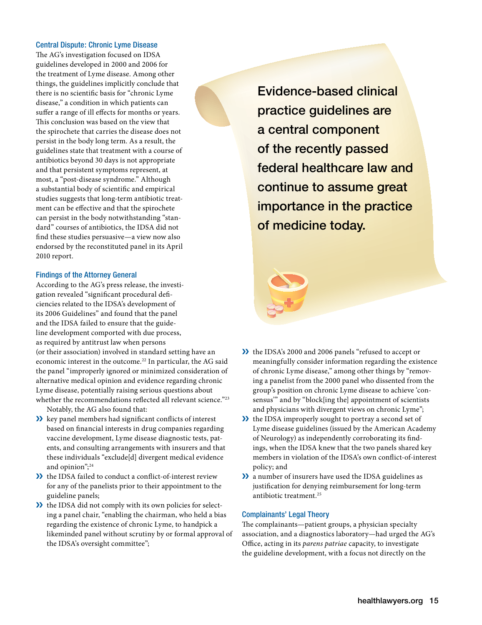#### Central Dispute: Chronic Lyme Disease

The AG's investigation focused on IDSA guidelines developed in 2000 and 2006 for the treatment of Lyme disease. Among other things, the guidelines implicitly conclude that there is no scientific basis for "chronic Lyme disease," a condition in which patients can suffer a range of ill effects for months or years. This conclusion was based on the view that the spirochete that carries the disease does not persist in the body long term. As a result, the guidelines state that treatment with a course of antibiotics beyond 30 days is not appropriate and that persistent symptoms represent, at most, a "post-disease syndrome." Although a substantial body of scientific and empirical studies suggests that long-term antibiotic treatment can be effective and that the spirochete can persist in the body notwithstanding "standard" courses of antibiotics, the IDSA did not find these studies persuasive—a view now also endorsed by the reconstituted panel in its April 2010 report.

#### Findings of the Attorney General

According to the AG's press release, the investigation revealed "significant procedural deficiencies related to the IDSA's development of its 2006 Guidelines" and found that the panel and the IDSA failed to ensure that the guideline development comported with due process, as required by antitrust law when persons (or their association) involved in standard setting have an economic interest in the outcome.22 In particular, the AG said the panel "improperly ignored or minimized consideration of alternative medical opinion and evidence regarding chronic Lyme disease, potentially raising serious questions about whether the recommendations reflected all relevant science."<sup>23</sup> Notably, the AG also found that:

- **EX** key panel members had significant conflicts of interest based on financial interests in drug companies regarding vaccine development, Lyme disease diagnostic tests, patents, and consulting arrangements with insurers and that these individuals "exclude[d] divergent medical evidence and opinion";<sup>24</sup>
- $\lambda$  the IDSA failed to conduct a conflict-of-interest review for any of the panelists prior to their appointment to the guideline panels;
- $\lambda$  the IDSA did not comply with its own policies for selecting a panel chair, "enabling the chairman, who held a bias regarding the existence of chronic Lyme, to handpick a likeminded panel without scrutiny by or formal approval of the IDSA's oversight committee";

Evidence-based clinical practice guidelines are a central component of the recently passed federal healthcare law and continue to assume great importance in the practice of medicine today.

- the IDSA's 2000 and 2006 panels "refused to accept or meaningfully consider information regarding the existence of chronic Lyme disease," among other things by "removing a panelist from the 2000 panel who dissented from the group's position on chronic Lyme disease to achieve 'consensus'" and by "block[ing the] appointment of scientists and physicians with divergent views on chronic Lyme";
- **EX** the IDSA improperly sought to portray a second set of Lyme disease guidelines (issued by the American Academy of Neurology) as independently corroborating its findings, when the IDSA knew that the two panels shared key members in violation of the IDSA's own conflict-of-interest policy; and
- a number of insurers have used the IDSA guidelines as justification for denying reimbursement for long-term antibiotic treatment.25

#### Complainants' Legal Theory

The complainants—patient groups, a physician specialty association, and a diagnostics laboratory—had urged the AG's Office, acting in its *parens patriae* capacity, to investigate the guideline development, with a focus not directly on the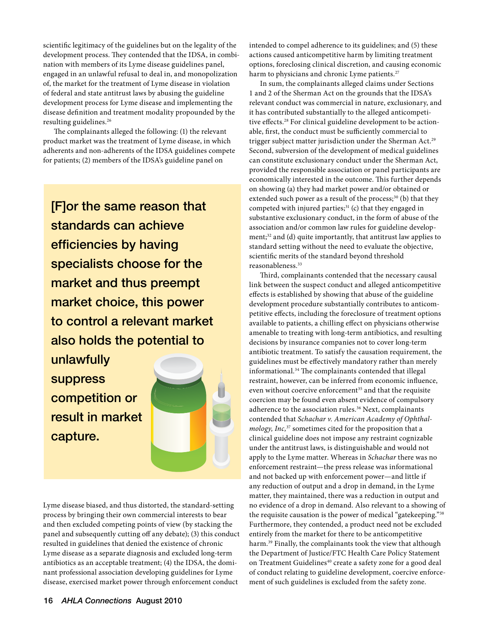scientific legitimacy of the guidelines but on the legality of the development process. They contended that the IDSA, in combination with members of its Lyme disease guidelines panel, engaged in an unlawful refusal to deal in, and monopolization of, the market for the treatment of Lyme disease in violation of federal and state antitrust laws by abusing the guideline development process for Lyme disease and implementing the disease definition and treatment modality propounded by the resulting guidelines.26

The complainants alleged the following: (1) the relevant product market was the treatment of Lyme disease, in which adherents and non-adherents of the IDSA guidelines compete for patients; (2) members of the IDSA's guideline panel on

[F]or the same reason that standards can achieve efficiencies by having specialists choose for the market and thus preempt market choice, this power to control a relevant market also holds the potential to unlawfully

suppress competition or result in market capture.



Lyme disease biased, and thus distorted, the standard-setting process by bringing their own commercial interests to bear and then excluded competing points of view (by stacking the panel and subsequently cutting off any debate); (3) this conduct resulted in guidelines that denied the existence of chronic Lyme disease as a separate diagnosis and excluded long-term antibiotics as an acceptable treatment; (4) the IDSA, the dominant professional association developing guidelines for Lyme disease, exercised market power through enforcement conduct

intended to compel adherence to its guidelines; and (5) these actions caused anticompetitive harm by limiting treatment options, foreclosing clinical discretion, and causing economic harm to physicians and chronic Lyme patients.<sup>27</sup>

In sum, the complainants alleged claims under Sections 1 and 2 of the Sherman Act on the grounds that the IDSA's relevant conduct was commercial in nature, exclusionary, and it has contributed substantially to the alleged anticompetitive effects.28 For clinical guideline development to be actionable, first, the conduct must be sufficiently commercial to trigger subject matter jurisdiction under the Sherman Act.29 Second, subversion of the development of medical guidelines can constitute exclusionary conduct under the Sherman Act, provided the responsible association or panel participants are economically interested in the outcome. This further depends on showing (a) they had market power and/or obtained or extended such power as a result of the process;<sup>30</sup> (b) that they competed with injured parties; $31$  (c) that they engaged in substantive exclusionary conduct, in the form of abuse of the association and/or common law rules for guideline development;<sup>32</sup> and (d) quite importantly, that antitrust law applies to standard setting without the need to evaluate the objective, scientific merits of the standard beyond threshold reasonableness.33

Third, complainants contended that the necessary causal link between the suspect conduct and alleged anticompetitive effects is established by showing that abuse of the guideline development procedure substantially contributes to anticompetitive effects, including the foreclosure of treatment options available to patients, a chilling effect on physicians otherwise amenable to treating with long-term antibiotics, and resulting decisions by insurance companies not to cover long-term antibiotic treatment. To satisfy the causation requirement, the guidelines must be effectively mandatory rather than merely informational.34 The complainants contended that illegal restraint, however, can be inferred from economic influence, even without coercive enforcement<sup>35</sup> and that the requisite coercion may be found even absent evidence of compulsory adherence to the association rules.<sup>36</sup> Next, complainants contended that *Schachar v. American Academy of Ophthalmology, Inc,*37 sometimes cited for the proposition that a clinical guideline does not impose any restraint cognizable under the antitrust laws, is distinguishable and would not apply to the Lyme matter. Whereas in *Schachar* there was no enforcement restraint—the press release was informational and not backed up with enforcement power—and little if any reduction of output and a drop in demand, in the Lyme matter, they maintained, there was a reduction in output and no evidence of a drop in demand. Also relevant to a showing of the requisite causation is the power of medical "gatekeeping."38 Furthermore, they contended, a product need not be excluded entirely from the market for there to be anticompetitive harm.<sup>39</sup> Finally, the complainants took the view that although the Department of Justice/FTC Health Care Policy Statement on Treatment Guidelines<sup>40</sup> create a safety zone for a good deal of conduct relating to guideline development, coercive enforcement of such guidelines is excluded from the safety zone.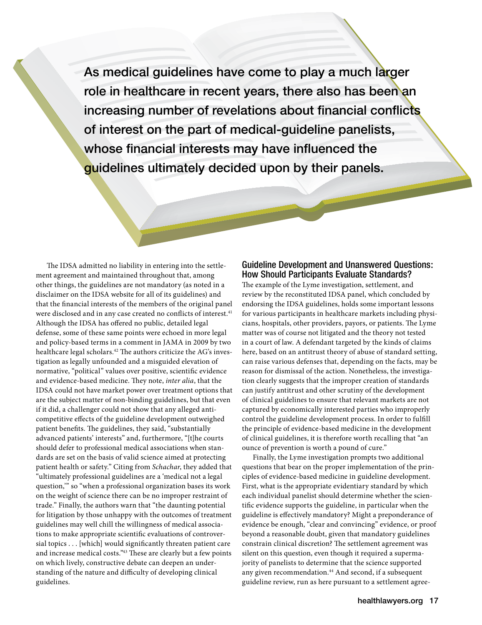As medical guidelines have come to play a much larger role in healthcare in recent years, there also has been an increasing number of revelations about financial conflicts of interest on the part of medical-guideline panelists, whose financial interests may have influenced the guidelines ultimately decided upon by their panels.

The IDSA admitted no liability in entering into the settlement agreement and maintained throughout that, among other things, the guidelines are not mandatory (as noted in a disclaimer on the IDSA website for all of its guidelines) and that the financial interests of the members of the original panel were disclosed and in any case created no conflicts of interest.<sup>41</sup> Although the IDSA has offered no public, detailed legal defense, some of these same points were echoed in more legal and policy-based terms in a comment in JAMA in 2009 by two healthcare legal scholars.<sup>42</sup> The authors criticize the AG's investigation as legally unfounded and a misguided elevation of normative, "political" values over positive, scientific evidence and evidence-based medicine. They note, *inter alia*, that the IDSA could not have market power over treatment options that are the subject matter of non-binding guidelines, but that even if it did, a challenger could not show that any alleged anticompetitive effects of the guideline development outweighed patient benefits. The guidelines, they said, "substantially advanced patients' interests" and, furthermore, "[t]he courts should defer to professional medical associations when standards are set on the basis of valid science aimed at protecting patient health or safety." Citing from *Schachar*, they added that "ultimately professional guidelines are a 'medical not a legal question,'" so "when a professional organization bases its work on the weight of science there can be no improper restraint of trade." Finally, the authors warn that "the daunting potential for litigation by those unhappy with the outcomes of treatment guidelines may well chill the willingness of medical associations to make appropriate scientific evaluations of controversial topics . . . [which] would significantly threaten patient care and increase medical costs."43 These are clearly but a few points on which lively, constructive debate can deepen an understanding of the nature and difficulty of developing clinical guidelines.

# Guideline Development and Unanswered Questions: How Should Participants Evaluate Standards?

The example of the Lyme investigation, settlement, and review by the reconstituted IDSA panel, which concluded by endorsing the IDSA guidelines, holds some important lessons for various participants in healthcare markets including physicians, hospitals, other providers, payors, or patients. The Lyme matter was of course not litigated and the theory not tested in a court of law. A defendant targeted by the kinds of claims here, based on an antitrust theory of abuse of standard setting, can raise various defenses that, depending on the facts, may be reason for dismissal of the action. Nonetheless, the investigation clearly suggests that the improper creation of standards can justify antitrust and other scrutiny of the development of clinical guidelines to ensure that relevant markets are not captured by economically interested parties who improperly control the guideline development process. In order to fulfill the principle of evidence-based medicine in the development of clinical guidelines, it is therefore worth recalling that "an ounce of prevention is worth a pound of cure."

Finally, the Lyme investigation prompts two additional questions that bear on the proper implementation of the principles of evidence-based medicine in guideline development. First, what is the appropriate evidentiary standard by which each individual panelist should determine whether the scientific evidence supports the guideline, in particular when the guideline is effectively mandatory? Might a preponderance of evidence be enough, "clear and convincing" evidence, or proof beyond a reasonable doubt, given that mandatory guidelines constrain clinical discretion? The settlement agreement was silent on this question, even though it required a supermajority of panelists to determine that the science supported any given recommendation.<sup>44</sup> And second, if a subsequent guideline review, run as here pursuant to a settlement agree-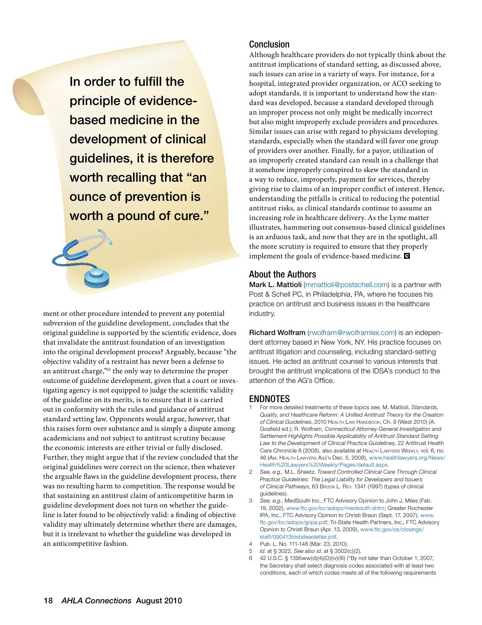In order to fulfill the principle of evidencebased medicine in the development of clinical guidelines, it is therefore worth recalling that "an ounce of prevention is worth a pound of cure."



ment or other procedure intended to prevent any potential subversion of the guideline development, concludes that the original guideline is supported by the scientific evidence, does that invalidate the antitrust foundation of an investigation into the original development process? Arguably, because "the objective validity of a restraint has never been a defense to an antitrust charge,"45 the only way to determine the proper outcome of guideline development, given that a court or investigating agency is not equipped to judge the scientific validity of the guideline on its merits, is to ensure that it is carried out in conformity with the rules and guidance of antitrust standard setting law. Opponents would argue, however, that this raises form over substance and is simply a dispute among academicians and not subject to antitrust scrutiny because the economic interests are either trivial or fully disclosed. Further, they might argue that if the review concluded that the original guidelines were correct on the science, then whatever the arguable flaws in the guideline development process, there was no resulting harm to competition. The response would be that sustaining an antitrust claim of anticompetitive harm in guideline development does not turn on whether the guideline is later found to be objectively valid: a finding of objective validity may ultimately determine whether there are damages, but it is irrelevant to whether the guideline was developed in an anticompetitive fashion.

# Conclusion

Although healthcare providers do not typically think about the antitrust implications of standard setting, as discussed above, such issues can arise in a variety of ways. For instance, for a hospital, integrated provider organization, or ACO seeking to adopt standards, it is important to understand how the standard was developed, because a standard developed through an improper process not only might be medically incorrect but also might improperly exclude providers and procedures. Similar issues can arise with regard to physicians developing standards, especially when the standard will favor one group of providers over another. Finally, for a payor, utilization of an improperly created standard can result in a challenge that it somehow improperly conspired to skew the standard in a way to reduce, improperly, payment for services, thereby giving rise to claims of an improper conflict of interest. Hence, understanding the pitfalls is critical to reducing the potential antitrust risks, as clinical standards continue to assume an increasing role in healthcare delivery. As the Lyme matter illustrates, hammering out consensus-based clinical guidelines is an arduous task, and now that they are in the spotlight, all the more scrutiny is required to ensure that they properly implement the goals of evidence-based medicine.

### About the Authors

Mark L. Mattioli ([mmattioli@postschell.com](mailto:mmattioli@postschell.com)) is a partner with Post & Schell PC, in Philadelphia, PA, where he focuses his practice on antitrust and business issues in the healthcare industry.

Richard Wolfram [\(rwolfram@rwolframlex.com](mailto:rwolfram@rwolframlex.com)) is an independent attorney based in New York, NY. His practice focuses on antitrust litigation and counseling, including standard-setting issues. He acted as antitrust counsel to various interests that brought the antitrust implications of the IDSA's conduct to the attention of the AG's Office.

# ENDNOTES

- 1 For more detailed treatments of these topics *see,* M. Mattioli, *Standards, Quality, and Healthcare Reform: A Unified Antitrust Theory for the Creation of Clinical Guidelines*, 2010 Неацтн Law Намовоок, Ch. 9 (West 2010) (А. Gosfield ed.); R. Wolfram, *Connecticut Attorney General Investigation and Settlement Highlights Possible Applicability of Antitrust Standard Setting Law to the Development of Clinical Practice Guidelines*, 22 Antitrust Health Care Chronicle 8 (2008), also *available at* Health Lawyers Weekly, vol. 6, no. 46 (Am. Health Lawyers Ass'n Dec. 5, 2008), [www.healthlawyers.org/News/](http://www.healthlawyers.org/News/Health%20Lawyers%20Weekly/Pages/default.aspx) [Health%20Lawyers%20Weekly/Pages/default.aspx](http://www.healthlawyers.org/News/Health%20Lawyers%20Weekly/Pages/default.aspx).
- 2 *See, e.g.,* M.L. Sheetz, *Toward Controlled Clinical Care Through Clinical Practice Guidelines: The Legal Liability for Developers and Issuers of Clinical Pathways*, 63 Brook L. Rev. 1341 (1997) (types of clinical guidelines).
- 3 *See, e.g.*, MedSouth Inc., FTC Advisory Opinion to John J. Miles (Feb. 19, 2002), [www.ftc.gov/bc/adops/medsouth.shtm](http://www.ftc.gov/bc/adops/medsouth.shtm); Greater Rochester IPA, Inc., FTC Advisory Opinion to Christi Braun (Sept. 17, 2007), [www.](http://www.ftc.gov/bc/adops/gripa.pdf) [ftc.gov/bc/adops/gripa.pdf;](http://www.ftc.gov/bc/adops/gripa.pdf) Tri-State Health Partners, Inc., FTC Advisory Opinion to Christi Braun (Apr. 13, 2009), [www.ftc.gov/os/closings/](http://www.ftc.gov/os/closings/staff/090413tristateaoletter.pdf) [staff/090413tristateaoletter.pdf.](http://www.ftc.gov/os/closings/staff/090413tristateaoletter.pdf)
- 4 Pub. L. No. 111-148 (Mar. 23, 2010).
- 5 *Id*. at § 3022. *See also id*. at § 3502(c)(2).
- 6 42 U.S.C. § 1395ww(d)(4)(D)(iv)(III) ("By not later than October 1, 2007, the Secretary shall select diagnosis codes associated with at least two conditions, each of which codes meets all of the following requirements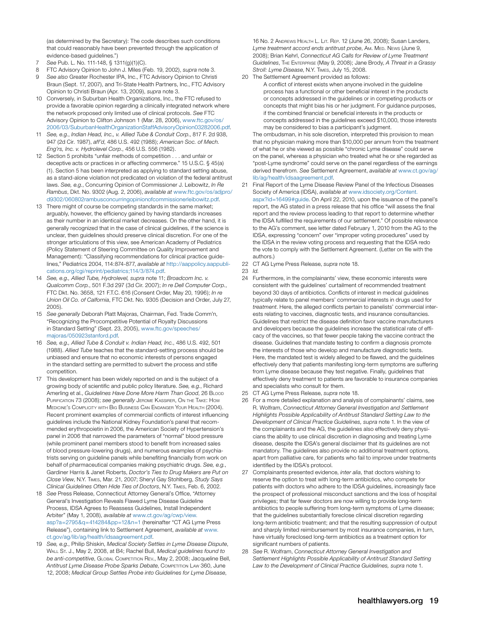(as determined by the Secretary): The code describes such conditions that could reasonably have been prevented through the application of evidence-based guidelines.")

- 7 *See* Pub. L. No. 111-148, § 1311(g)(1)(C).
- 8 FTC Advisory Opinion to John J. Miles (Feb. 19, 2002), *supra* note 3.
- 9 *See also* Greater Rochester IPA, Inc., FTC Advisory Opinion to Christi Braun (Sept. 17, 2007), and Tri-State Health Partners, Inc., FTC Advisory Opinion to Christi Braun (Apr. 13, 2009), *supra* note 3.
- 10 Conversely, in Suburban Health Organizations, Inc., the FTC refused to provide a favorable opinion regarding a clinically integrated network where the network proposed only limited use of clinical protocols. *See* FTC Advisory Opinion to Clifton Johnson 1 (Mar. 28, 2006), [www.ftc.gov/os/](http://www.ftc.gov/os/2006/03/SuburbanHealthOrganizationStaffAdvisoryOpinion03282006.pdf) [2006/03/SuburbanHealthOrganizationStaffAdvisoryOpinion03282006.pdf.](http://www.ftc.gov/os/2006/03/SuburbanHealthOrganizationStaffAdvisoryOpinion03282006.pdf)
- 11 *See, e.g.*, *Indian Head, Inc., v. Allied Tube & Conduit Corp*., 817 F. 2d 938, 947 (2d Cir. 1987), *aff'd*, 486 U.S. 492 (1988); *American Soc. of Mech. Eng'rs, Inc. v. Hydrolevel Corp.*, 456 U.S. 556 (1982).
- 12 Section 5 prohibits "unfair methods of competition . . . and unfair or deceptive acts or practices in or affecting commerce." 15 U.S.C. § 45(a) (1). Section 5 has been interpreted as applying to standard setting abuse, as a stand-alone violation not predicated on violation of the federal antitrust laws. *See, e.g.*, Concurring Opinion of Commissioner J. Leibowitz, *In Re Rambus*, Dkt. No. 9302 (Aug. 2, 2006), *available at* [www.ftc.gov/os/adjpro/](http://www.ftc.gov/os/adjpro/d9302/060802rambusconcurringopinionofcommissionerleibowitz.pdf) [d9302/060802rambusconcurringopinionofcommissionerleibowitz.pdf.](http://www.ftc.gov/os/adjpro/d9302/060802rambusconcurringopinionofcommissionerleibowitz.pdf)
- 13 There might of course be competing standards in the same market; arguably, however, the efficiency gained by having standards increases as their number in an identical market decreases. On the other hand, it is generally recognized that in the case of clinical guidelines, if the science is unclear, then guidelines should preserve clinical discretion. For one of the stronger articulations of this view, see American Academy of Pediatrics (Policy Statement of Steering Committee on Quality Improvement and Management): "Classifying recommendations for clinical practice guidelines," Pediatrics 2004, 114:874-877, *available at* [http://aappolicy.aappubli](http://aappolicy.aappublications.org/cgi/reprint/pediatrics;114/3/874.pdf)[cations.org/cgi/reprint/pediatrics;114/3/874.pdf](http://aappolicy.aappublications.org/cgi/reprint/pediatrics;114/3/874.pdf).
- 14 *See, e.g., Allied Tube, Hydrolevel, supra* note 11; *Broadcom Inc. v. Qualcomm Corp.*, 501 F.3d 297 (3d Cir. 2007); *In re Dell Computer Corp.*, FTC Dkt. No. 3658, 121 F.T.C. 616 (Consent Order, May 20, 1996); *In re Union Oil Co. of Calfornia*, FTC Dkt. No. 9305 (Decision and Order, July 27, 2005).
- 15 *See generally* Deborah Platt Majoras, Chairman, Fed. Trade Comm'n, "Recognizing the Procompetitive Potential of Royalty Discussions in Standard Setting" (Sept. 23, 2005), [www.ftc.gov/speeches/](http://www.ftc.gov/speeches/majoras/050923stanford.pdf) [majoras/050923stanford.pdf](http://www.ftc.gov/speeches/majoras/050923stanford.pdf).
- 16 *See, e.g., Allied Tube & Conduit v. Indian Head, Inc.*, 486 U.S. 492, 501 (1988). *Allied Tube* teaches that the standard-setting process should be unbiased and ensure that no economic interests of persons engaged in the standard setting are permitted to subvert the process and stifle competition.
- 17 This development has been widely reported on and is the subject of a growing body of scientific and public policy literature. *See, e.g.*, Richard Amerling et al., *Guidelines Have Done More Harm Than Good*, 26 Blood Purification 73 (2008); *see generally* Jerome Kassirer, On the Take: How Medicine's Complicity with Big Business Can Endanger Your Health (2004). Recent prominent examples of commercial conflicts of interest influencing guidelines include the National Kidney Foundation's panel that recommended erythropoietin in 2006, the American Society of Hypertension's panel in 2006 that narrowed the parameters of "normal" blood pressure (while prominent panel members stood to benefit from increased sales of blood pressure-lowering drugs), and numerous examples of psychiatrists serving on guideline panels while benefiting financially from work on behalf of pharmaceutical companies making psychiatric drugs. *See, e.g.*, Gardiner Harris & Janet Roberts, *Doctor's Ties to Drug Makers are Put on Close View*, N.Y. Times, Mar. 21, 2007; Sheryl Gay Stohlberg, *Study Says Clinical Guidelines Often Hide Ties of Doctors*, N.Y. Times, Feb. 6, 2002.
- 18 *See* Press Release, Connecticut Attorney General's Office, "Attorney General's Investigation Reveals Flawed Lyme Disease Guideline Process, IDSA Agrees to Reassess Guidelines, Install Independent Arbiter" (May 1, 2008), *available at* [www.ct.gov/ag/cwp/view.](http://www.ct.gov/ag/cwp/view.asp?a=2795&q=414284&pp=12&n=1) [asp?a=2795&q=414284&pp=12&n=1](http://www.ct.gov/ag/cwp/view.asp?a=2795&q=414284&pp=12&n=1) (hereinafter "CT AG Lyme Press Release"), containing link to Settlement Agreement, *available at* [www.](http://www.ct.gov/ag/lib/ag/health/idsaagreement.pdf) [ct.gov/ag/lib/ag/health/idsaagreement.pdf](http://www.ct.gov/ag/lib/ag/health/idsaagreement.pdf).
- 19 *See, e.g.*, Philip Shiskin, *Medical Society Settles in Lyme Disease Dispute*, Wall St. J., May 2, 2008, at B4; Rachel Bull, *Medical guidelines found to be anti-competitive*, Global Competition Rev., May 2, 2008; Jacqueline Bell, *Antitrust Lyme Disease Probe Sparks Debate*, Competition Law 360, June 12, 2008; *Medical Group Settles Probe into Guidelines for Lyme Disease*,

16 No. 2 ANDREWS HEALTH L. LIT. REP. 12 (June 26, 2008); Susan Landers, Lyme treatment accord ends antitrust probe, Am. MED. NEws (June 9, 2008); Brian Kehrl, *Connecticut AG Calls for Review of Lyme Treatment Guidelines*, The Enterprise (May 9, 2008); Jane Brody, *A Threat in a Grassy Stroll: Lyme Disease*, N.Y. Times, July 15, 2008.

20 The Settlement Agreement provided as follows: A conflict of interest exists when anyone involved in the guideline process has a functional or other beneficial interest in the products or concepts addressed in the guidelines or in competing products or concepts that might bias his or her judgment. For guidance purposes, if the combined financial or beneficial interests in the products or concepts addressed in the guidelines exceed \$10,000, those interests may be considered to bias a participant's judgment.

The ombudsman, in his sole discretion, interpreted this provision to mean that no physician making more than \$10,000 per annum from the treatment of what he or she viewed as possible "chronic Lyme disease" could serve on the panel, whereas a physician who treated what he or she regarded as "post-Lyme syndrome" could serve on the panel regardless of the earnings derived therefrom. *See* Settlement Agreement, *available at* [www.ct.gov/ag/](http://www.ct.gov/ag/lib/ag/health/idsaagreement.pdf) [lib/ag/health/idsaagreement.pdf](http://www.ct.gov/ag/lib/ag/health/idsaagreement.pdf).

- 21 Final Report of the Lyme Disease Review Panel of the Infectious Diseases Society of America (IDSA), *available at* [www.idsociety.org/Content.](http://www.idsociety.org/Content.aspx?id=16499#guide) [aspx?id=16499#guide](http://www.idsociety.org/Content.aspx?id=16499#guide). On April 22, 2010, upon the issuance of the panel's report, the AG stated in a press release that his office "will assess the final report and the review process leading to that report to determine whether the IDSA fulfilled the requirements of our settlement." Of possible relevance to the AG's comment, see letter dated February 1, 2010 from the AG to the IDSA, expressing "concern" over "improper voting procedures" used by the IDSA in the review voting process and requesting that the IDSA redo the vote to comply with the Settlement Agreement. (Letter on file with the authors.)
- 22 CT AG Lyme Press Release, *supra* note 18.
- 23 *Id*.
- 24 Furthermore, in the complainants' view, these economic interests were consistent with the guidelines' curtailment of recommended treatment beyond 30 days of antibiotics. Conflicts of interest in medical guidelines typically relate to panel members' commercial interests in drugs used for *treatment*. Here, the alleged conflicts pertain to panelists' commercial interests relating to vaccines, diagnostic tests, and insurance consultancies. Guidelines that restrict the disease definition favor vaccine manufacturers and developers because the guidelines increase the statistical rate of efficacy of the vaccines, so that fewer people taking the vaccine contract the disease. Guidelines that mandate testing to confirm a diagnosis promote the interests of those who develop and manufacture diagnostic tests. Here, the mandated test is widely alleged to be flawed, and the guidelines effectively deny that patients manifesting long-term symptoms are suffering from Lyme disease because they test negative. Finally, guidelines that effectively deny treatment to patients are favorable to insurance companies and specialists who consult for them.
- 25 CT AG Lyme Press Release, *supra* note 18.
- 26 For a more detailed explanation and analysis of complainants' claims, see R. Wolfram, *Connecticut Attorney General Investigation and Settlement Highlights Possible Applicability of Antitrust Standard Setting Law to the Development of Clinical Practice Guidelines, supra* note 1. In the view of the complainants and the AG, the guidelines also effectively deny physicians the ability to use clinical discretion in diagnosing and treating Lyme disease, despite the IDSA's general disclaimer that its guidelines are not mandatory. The guidelines also provide no additional treatment options, apart from palliative care, for patients who fail to improve under treatments identified by the IDSA's protocol.
- 27 Complainants presented evidence, *inter alia*, that doctors wishing to reserve the option to treat with long-term antibiotics, who compete for patients with doctors who adhere to the IDSA guidelines, increasingly face the prospect of professional misconduct sanctions and the loss of hospital privileges; that far fewer doctors are now willing to provide long-term antibiotics to people suffering from long-term symptoms of Lyme disease; that the guidelines substantially foreclose clinical discretion regarding long-term antibiotic treatment; and that the resulting suppression of output and sharply limited reimbursement by most insurance companies, in turn, have virtually foreclosed long-term antibiotics as a treatment option for significant numbers of patients.
- 28 *See* R. Wolfram, *Connecticut Attorney General Investigation and Settlement Highlights Possible Applicability of Antitrust Standard Setting Law to the Development of Clinical Practice Guidelines, supra* note 1.